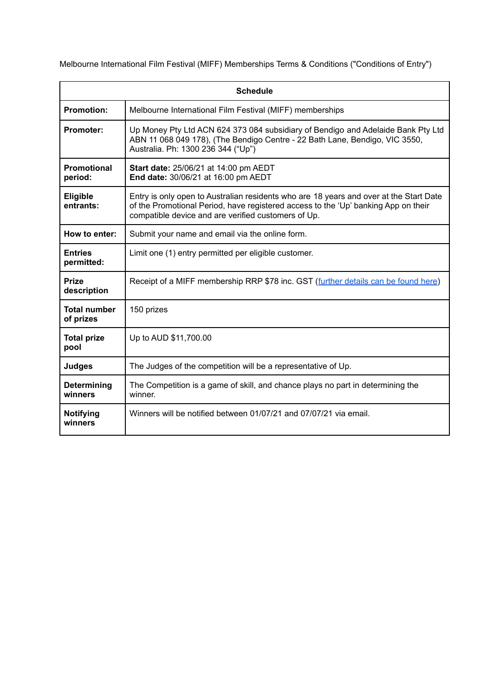Melbourne International Film Festival (MIFF) Memberships Terms & Conditions ("Conditions of Entry")

| <b>Schedule</b>                  |                                                                                                                                                                                                                                     |
|----------------------------------|-------------------------------------------------------------------------------------------------------------------------------------------------------------------------------------------------------------------------------------|
| <b>Promotion:</b>                | Melbourne International Film Festival (MIFF) memberships                                                                                                                                                                            |
| <b>Promoter:</b>                 | Up Money Pty Ltd ACN 624 373 084 subsidiary of Bendigo and Adelaide Bank Pty Ltd<br>ABN 11 068 049 178), (The Bendigo Centre - 22 Bath Lane, Bendigo, VIC 3550,<br>Australia. Ph: 1300 236 344 ("Up")                               |
| <b>Promotional</b><br>period:    | Start date: 25/06/21 at 14:00 pm AEDT<br>End date: 30/06/21 at 16:00 pm AEDT                                                                                                                                                        |
| <b>Eligible</b><br>entrants:     | Entry is only open to Australian residents who are 18 years and over at the Start Date<br>of the Promotional Period, have registered access to the 'Up' banking App on their<br>compatible device and are verified customers of Up. |
| How to enter:                    | Submit your name and email via the online form.                                                                                                                                                                                     |
| <b>Entries</b><br>permitted:     | Limit one (1) entry permitted per eligible customer.                                                                                                                                                                                |
| <b>Prize</b><br>description      | Receipt of a MIFF membership RRP \$78 inc. GST (further details can be found here)                                                                                                                                                  |
| <b>Total number</b><br>of prizes | 150 prizes                                                                                                                                                                                                                          |
| <b>Total prize</b><br>pool       | Up to AUD \$11,700.00                                                                                                                                                                                                               |
| <b>Judges</b>                    | The Judges of the competition will be a representative of Up.                                                                                                                                                                       |
| Determining<br>winners           | The Competition is a game of skill, and chance plays no part in determining the<br>winner.                                                                                                                                          |
| <b>Notifying</b><br>winners      | Winners will be notified between 01/07/21 and 07/07/21 via email.                                                                                                                                                                   |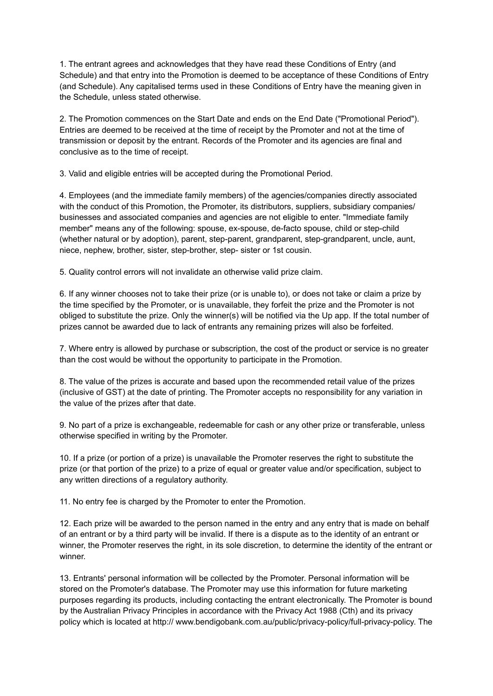1. The entrant agrees and acknowledges that they have read these Conditions of Entry (and Schedule) and that entry into the Promotion is deemed to be acceptance of these Conditions of Entry (and Schedule). Any capitalised terms used in these Conditions of Entry have the meaning given in the Schedule, unless stated otherwise.

2. The Promotion commences on the Start Date and ends on the End Date ("Promotional Period"). Entries are deemed to be received at the time of receipt by the Promoter and not at the time of transmission or deposit by the entrant. Records of the Promoter and its agencies are final and conclusive as to the time of receipt.

3. Valid and eligible entries will be accepted during the Promotional Period.

4. Employees (and the immediate family members) of the agencies/companies directly associated with the conduct of this Promotion, the Promoter, its distributors, suppliers, subsidiary companies/ businesses and associated companies and agencies are not eligible to enter. "Immediate family member" means any of the following: spouse, ex-spouse, de-facto spouse, child or step-child (whether natural or by adoption), parent, step-parent, grandparent, step-grandparent, uncle, aunt, niece, nephew, brother, sister, step-brother, step- sister or 1st cousin.

5. Quality control errors will not invalidate an otherwise valid prize claim.

6. If any winner chooses not to take their prize (or is unable to), or does not take or claim a prize by the time specified by the Promoter, or is unavailable, they forfeit the prize and the Promoter is not obliged to substitute the prize. Only the winner(s) will be notified via the Up app. If the total number of prizes cannot be awarded due to lack of entrants any remaining prizes will also be forfeited.

7. Where entry is allowed by purchase or subscription, the cost of the product or service is no greater than the cost would be without the opportunity to participate in the Promotion.

8. The value of the prizes is accurate and based upon the recommended retail value of the prizes (inclusive of GST) at the date of printing. The Promoter accepts no responsibility for any variation in the value of the prizes after that date.

9. No part of a prize is exchangeable, redeemable for cash or any other prize or transferable, unless otherwise specified in writing by the Promoter.

10. If a prize (or portion of a prize) is unavailable the Promoter reserves the right to substitute the prize (or that portion of the prize) to a prize of equal or greater value and/or specification, subject to any written directions of a regulatory authority.

11. No entry fee is charged by the Promoter to enter the Promotion.

12. Each prize will be awarded to the person named in the entry and any entry that is made on behalf of an entrant or by a third party will be invalid. If there is a dispute as to the identity of an entrant or winner, the Promoter reserves the right, in its sole discretion, to determine the identity of the entrant or winner.

13. Entrants' personal information will be collected by the Promoter. Personal information will be stored on the Promoter's database. The Promoter may use this information for future marketing purposes regarding its products, including contacting the entrant electronically. The Promoter is bound by the Australian Privacy Principles in accordance with the Privacy Act 1988 (Cth) and its privacy policy which is located at http:// www.bendigobank.com.au/public/privacy-policy/full-privacy-policy. The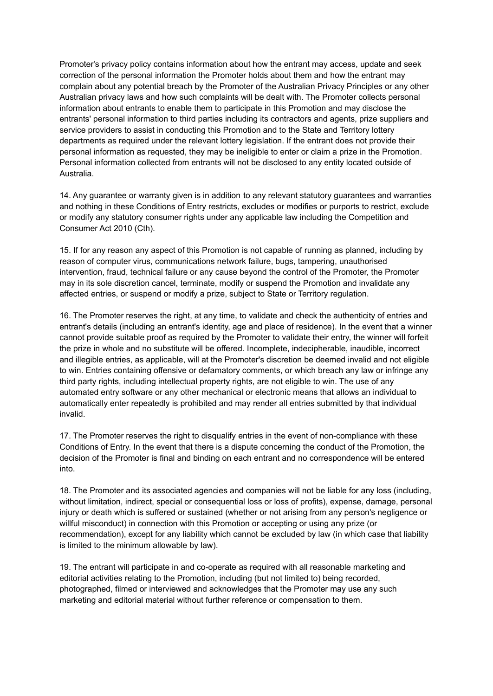Promoter's privacy policy contains information about how the entrant may access, update and seek correction of the personal information the Promoter holds about them and how the entrant may complain about any potential breach by the Promoter of the Australian Privacy Principles or any other Australian privacy laws and how such complaints will be dealt with. The Promoter collects personal information about entrants to enable them to participate in this Promotion and may disclose the entrants' personal information to third parties including its contractors and agents, prize suppliers and service providers to assist in conducting this Promotion and to the State and Territory lottery departments as required under the relevant lottery legislation. If the entrant does not provide their personal information as requested, they may be ineligible to enter or claim a prize in the Promotion. Personal information collected from entrants will not be disclosed to any entity located outside of Australia.

14. Any guarantee or warranty given is in addition to any relevant statutory guarantees and warranties and nothing in these Conditions of Entry restricts, excludes or modifies or purports to restrict, exclude or modify any statutory consumer rights under any applicable law including the Competition and Consumer Act 2010 (Cth).

15. If for any reason any aspect of this Promotion is not capable of running as planned, including by reason of computer virus, communications network failure, bugs, tampering, unauthorised intervention, fraud, technical failure or any cause beyond the control of the Promoter, the Promoter may in its sole discretion cancel, terminate, modify or suspend the Promotion and invalidate any affected entries, or suspend or modify a prize, subject to State or Territory regulation.

16. The Promoter reserves the right, at any time, to validate and check the authenticity of entries and entrant's details (including an entrant's identity, age and place of residence). In the event that a winner cannot provide suitable proof as required by the Promoter to validate their entry, the winner will forfeit the prize in whole and no substitute will be offered. Incomplete, indecipherable, inaudible, incorrect and illegible entries, as applicable, will at the Promoter's discretion be deemed invalid and not eligible to win. Entries containing offensive or defamatory comments, or which breach any law or infringe any third party rights, including intellectual property rights, are not eligible to win. The use of any automated entry software or any other mechanical or electronic means that allows an individual to automatically enter repeatedly is prohibited and may render all entries submitted by that individual invalid.

17. The Promoter reserves the right to disqualify entries in the event of non-compliance with these Conditions of Entry. In the event that there is a dispute concerning the conduct of the Promotion, the decision of the Promoter is final and binding on each entrant and no correspondence will be entered into.

18. The Promoter and its associated agencies and companies will not be liable for any loss (including, without limitation, indirect, special or consequential loss or loss of profits), expense, damage, personal injury or death which is suffered or sustained (whether or not arising from any person's negligence or willful misconduct) in connection with this Promotion or accepting or using any prize (or recommendation), except for any liability which cannot be excluded by law (in which case that liability is limited to the minimum allowable by law).

19. The entrant will participate in and co-operate as required with all reasonable marketing and editorial activities relating to the Promotion, including (but not limited to) being recorded, photographed, filmed or interviewed and acknowledges that the Promoter may use any such marketing and editorial material without further reference or compensation to them.